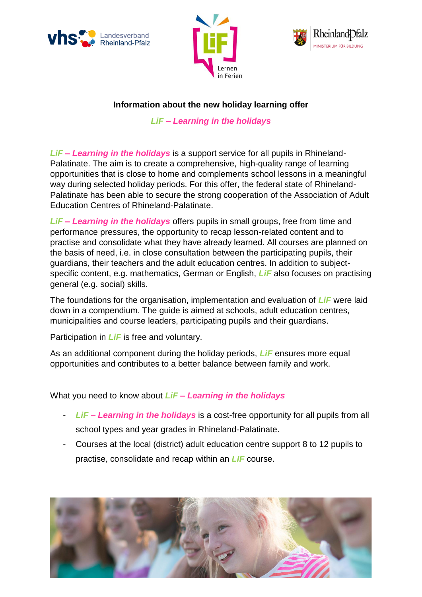





## **Information about the new holiday learning offer**

*LiF – Learning in the holidays*

*LiF – Learning in the holidays* is a support service for all pupils in Rhineland-Palatinate. The aim is to create a comprehensive, high-quality range of learning opportunities that is close to home and complements school lessons in a meaningful way during selected holiday periods. For this offer, the federal state of Rhineland-Palatinate has been able to secure the strong cooperation of the Association of Adult Education Centres of Rhineland-Palatinate.

*LiF – Learning in the holidays* offers pupils in small groups, free from time and performance pressures, the opportunity to recap lesson-related content and to practise and consolidate what they have already learned. All courses are planned on the basis of need, i.e. in close consultation between the participating pupils, their guardians, their teachers and the adult education centres. In addition to subjectspecific content, e.g. mathematics, German or English, *LiF* also focuses on practising general (e.g. social) skills.

The foundations for the organisation, implementation and evaluation of *LiF* were laid down in a compendium. The guide is aimed at schools, adult education centres, municipalities and course leaders, participating pupils and their guardians.

Participation in *LiF* is free and voluntary.

As an additional component during the holiday periods, *LiF* ensures more equal opportunities and contributes to a better balance between family and work.

What you need to know about *LiF – Learning in the holidays*

- *LiF – Learning in the holidays* is a cost-free opportunity for all pupils from all school types and year grades in Rhineland-Palatinate.
- Courses at the local (district) adult education centre support 8 to 12 pupils to practise, consolidate and recap within an *LIF* course.